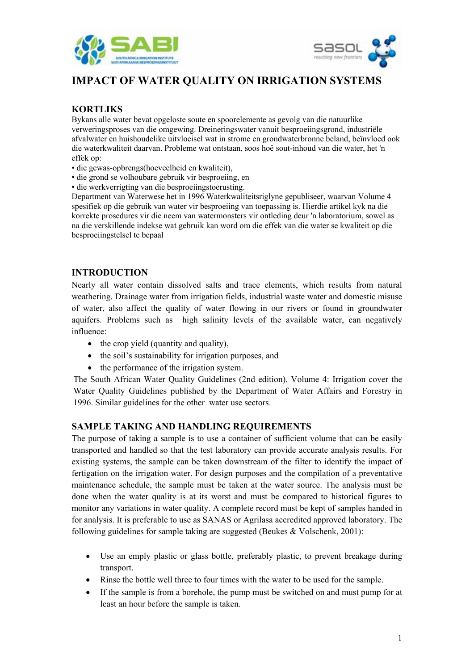



# **IMPACT OF WATER QUALITY ON IRRIGATION SYSTEMS**

# **KORTLIKS**

Bykans alle water bevat opgeloste soute en spoorelemente as gevolg van die natuurlike verweringsproses van die omgewing. Dreineringswater vanuit besproeiingsgrond, industriële afvalwater en huishoudelike uitvloeisel wat in strome en grondwaterbronne beland, beïnvloed ook die waterkwaliteit daarvan. Probleme wat ontstaan, soos hoë sout-inhoud van die water, het 'n effek op:

- die gewas-opbrengs(hoeveelheid en kwaliteit),
- die grond se volhoubare gebruik vir besproeiing, en
- die werkverrigting van die besproeiingstoerusting.

Department van Waterwese het in 1996 Waterkwaliteitsriglyne gepubliseer, waarvan Volume 4 spesifiek op die gebruik van water vir besproeiing van toepassing is. Hierdie artikel kyk na die korrekte prosedures vir die neem van watermonsters vir ontleding deur 'n laboratorium, sowel as na die verskillende indekse wat gebruik kan word om die effek van die water se kwaliteit op die besproeiingstelsel te bepaal

#### **INTRODUCTION**

Nearly all water contain dissolved salts and trace elements, which results from natural weathering. Drainage water from irrigation fields, industrial waste water and domestic misuse of water, also affect the quality of water flowing in our rivers or found in groundwater aquifers. Problems such as high salinity levels of the available water, can negatively influence:

- the crop yield (quantity and quality),
- the soil's sustainability for irrigation purposes, and
- the performance of the irrigation system.

The South African Water Quality Guidelines (2nd edition), Volume 4: Irrigation cover the Water Quality Guidelines published by the Department of Water Affairs and Forestry in 1996. Similar guidelines for the other water use sectors.

#### **SAMPLE TAKING AND HANDLING REQUIREMENTS**

The purpose of taking a sample is to use a container of sufficient volume that can be easily transported and handled so that the test laboratory can provide accurate analysis results. For existing systems, the sample can be taken downstream of the filter to identify the impact of fertigation on the irrigation water. For design purposes and the compilation of a preventative maintenance schedule, the sample must be taken at the water source. The analysis must be done when the water quality is at its worst and must be compared to historical figures to monitor any variations in water quality. A complete record must be kept of samples handed in for analysis. It is preferable to use as SANAS or Agrilasa accredited approved laboratory. The following guidelines for sample taking are suggested (Beukes & Volschenk, 2001):

- Use an emply plastic or glass bottle, preferably plastic, to prevent breakage during transport.
- Rinse the bottle well three to four times with the water to be used for the sample.
- If the sample is from a borehole, the pump must be switched on and must pump for at least an hour before the sample is taken.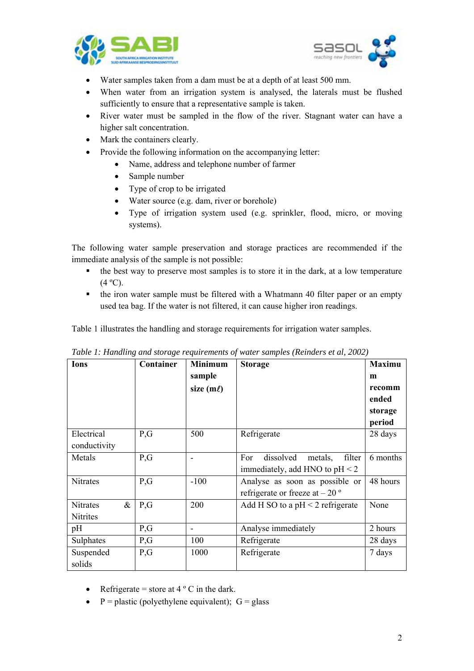



- Water samples taken from a dam must be at a depth of at least 500 mm.
- When water from an irrigation system is analysed, the laterals must be flushed sufficiently to ensure that a representative sample is taken.
- River water must be sampled in the flow of the river. Stagnant water can have a higher salt concentration.
- Mark the containers clearly.
- Provide the following information on the accompanying letter:
	- Name, address and telephone number of farmer
	- Sample number
	- Type of crop to be irrigated
	- Water source (e.g. dam, river or borehole)
	- Type of irrigation system used (e.g. sprinkler, flood, micro, or moving systems).

The following water sample preservation and storage practices are recommended if the immediate analysis of the sample is not possible:

- $\blacksquare$  the best way to preserve most samples is to store it in the dark, at a low temperature  $(4 °C)$ .
- the iron water sample must be filtered with a Whatmann 40 filter paper or an empty used tea bag. If the water is not filtered, it can cause higher iron readings.

Table 1 illustrates the handling and storage requirements for irrigation water samples.

| Ions                    | Container | <b>Minimum</b> | <b>Storage</b>                        | <b>Maximu</b> |
|-------------------------|-----------|----------------|---------------------------------------|---------------|
|                         |           | sample         |                                       | m             |
|                         |           | size $(m\ell)$ |                                       | recomm        |
|                         |           |                |                                       | ended         |
|                         |           |                |                                       | storage       |
|                         |           |                |                                       | period        |
| Electrical              | P,G       | 500            | Refrigerate                           | 28 days       |
| conductivity            |           |                |                                       |               |
| Metals                  | P,G       |                | dissolved<br>filter<br>For<br>metals, | 6 months      |
|                         |           |                | immediately, add HNO to $pH < 2$      |               |
| <b>Nitrates</b>         | P,G       | $-100$         | Analyse as soon as possible or        | 48 hours      |
|                         |           |                | refrigerate or freeze at $-20$ °      |               |
| $\&$<br><b>Nitrates</b> | P,G       | 200            | Add H SO to a $pH < 2$ refrigerate    | None          |
| Nitrites                |           |                |                                       |               |
| pH                      | P,G       |                | Analyse immediately                   | 2 hours       |
| Sulphates               | P,G       | 100            | Refrigerate                           | 28 days       |
| Suspended               | P,G       | 1000           | Refrigerate                           | 7 days        |
| solids                  |           |                |                                       |               |

*Table 1: Handling and storage requirements of water samples (Reinders et al, 2002)* 

- Refrigerate = store at  $4^{\circ}$  C in the dark.
- $\bullet$  P = plastic (polyethylene equivalent); G = glass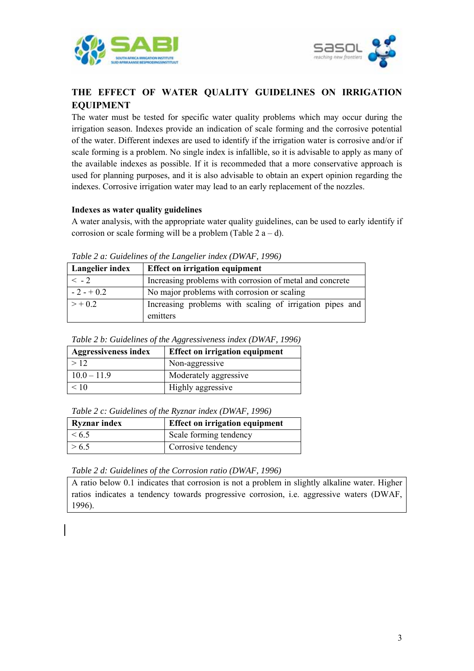



# **THE EFFECT OF WATER QUALITY GUIDELINES ON IRRIGATION EQUIPMENT**

The water must be tested for specific water quality problems which may occur during the irrigation season. Indexes provide an indication of scale forming and the corrosive potential of the water. Different indexes are used to identify if the irrigation water is corrosive and/or if scale forming is a problem. No single index is infallible, so it is advisable to apply as many of the available indexes as possible. If it is recommeded that a more conservative approach is used for planning purposes, and it is also advisable to obtain an expert opinion regarding the indexes. Corrosive irrigation water may lead to an early replacement of the nozzles.

#### **Indexes as water quality guidelines**

A water analysis, with the appropriate water quality guidelines, can be used to early identify if corrosion or scale forming will be a problem (Table  $2a-d$ ).

| $\frac{1}{2}$ and $\frac{1}{2}$ are conveniently by the matrix $\frac{1}{2}$ and $\frac{1}{2}$ and $\frac{1}{2}$ and $\frac{1}{2}$ |                                                                      |  |  |
|------------------------------------------------------------------------------------------------------------------------------------|----------------------------------------------------------------------|--|--|
| Langelier index                                                                                                                    | Effect on irrigation equipment                                       |  |  |
| $\leq$ - 2                                                                                                                         | Increasing problems with corrosion of metal and concrete             |  |  |
| $-2 - +0.2$                                                                                                                        | No major problems with corrosion or scaling                          |  |  |
| $> +0.2$                                                                                                                           | Increasing problems with scaling of irrigation pipes and<br>emitters |  |  |

*Table 2 a: Guidelines of the Langelier index (DWAF, 1996)*

|  |  |  | Table 2 b: Guidelines of the Aggressiveness index (DWAF, 1996) |  |  |  |
|--|--|--|----------------------------------------------------------------|--|--|--|
|--|--|--|----------------------------------------------------------------|--|--|--|

| <b>Aggressiveness index</b> | <b>Effect on irrigation equipment</b> |  |  |
|-----------------------------|---------------------------------------|--|--|
| >12                         | Non-aggressive                        |  |  |
| $10.0 - 11.9$               | Moderately aggressive                 |  |  |
| < 10                        | Highly aggressive                     |  |  |

*Table 2 c: Guidelines of the Ryznar index (DWAF, 1996)* 

| <b>Ryznar index</b> | <b>Effect on irrigation equipment</b> |  |  |
|---------------------|---------------------------------------|--|--|
| $\le 6.5$           | Scale forming tendency                |  |  |
| > 6.5               | Corrosive tendency                    |  |  |

#### *Table 2 d: Guidelines of the Corrosion ratio (DWAF, 1996)*

A ratio below 0.1 indicates that corrosion is not a problem in slightly alkaline water. Higher ratios indicates a tendency towards progressive corrosion, i.e. aggressive waters (DWAF, 1996).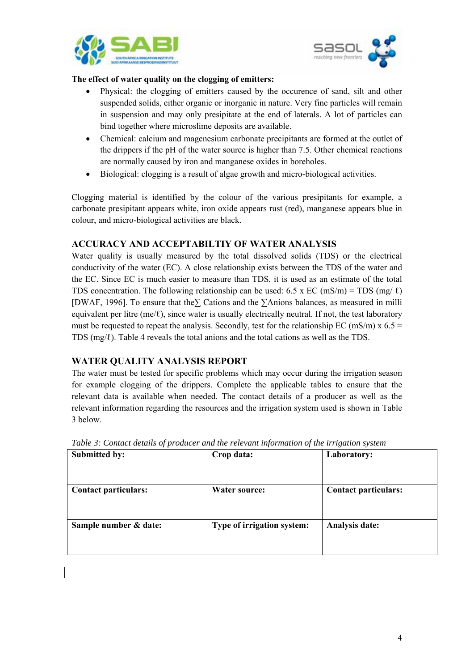



#### **The effect of water quality on the clogging of emitters:**

- Physical: the clogging of emitters caused by the occurence of sand, silt and other suspended solids, either organic or inorganic in nature. Very fine particles will remain in suspension and may only presipitate at the end of laterals. A lot of particles can bind together where microslime deposits are available.
- Chemical: calcium and magenesium carbonate precipitants are formed at the outlet of the drippers if the pH of the water source is higher than 7.5. Other chemical reactions are normally caused by iron and manganese oxides in boreholes.
- Biological: clogging is a result of algae growth and micro-biological activities.

Clogging material is identified by the colour of the various presipitants for example, a carbonate presipitant appears white, iron oxide appears rust (red), manganese appears blue in colour, and micro-biological activities are black.

### **ACCURACY AND ACCEPTABILTIY OF WATER ANALYSIS**

Water quality is usually measured by the total dissolved solids (TDS) or the electrical conductivity of the water (EC). A close relationship exists between the TDS of the water and the EC. Since EC is much easier to measure than TDS, it is used as an estimate of the total TDS concentration. The following relationship can be used: 6.5 x EC (mS/m) = TDS (mg/ $\ell$ ) [DWAF, 1996]. To ensure that the**∑** Cations and the **∑**Anions balances, as measured in milli equivalent per litre (me/ $\ell$ ), since water is usually electrically neutral. If not, the test laboratory must be requested to repeat the analysis. Secondly, test for the relationship EC (mS/m) x  $6.5 =$ TDS  $(mg/\ell)$ . Table 4 reveals the total anions and the total cations as well as the TDS.

## **WATER QUALITY ANALYSIS REPORT**

The water must be tested for specific problems which may occur during the irrigation season for example clogging of the drippers. Complete the applicable tables to ensure that the relevant data is available when needed. The contact details of a producer as well as the relevant information regarding the resources and the irrigation system used is shown in Table 3 below.

| Submitted by:               | Crop data:                 | Laboratory:                 |
|-----------------------------|----------------------------|-----------------------------|
| <b>Contact particulars:</b> | <b>Water source:</b>       | <b>Contact particulars:</b> |
| Sample number & date:       | Type of irrigation system: | Analysis date:              |

*Table 3: Contact details of producer and the relevant information of the irrigation system*